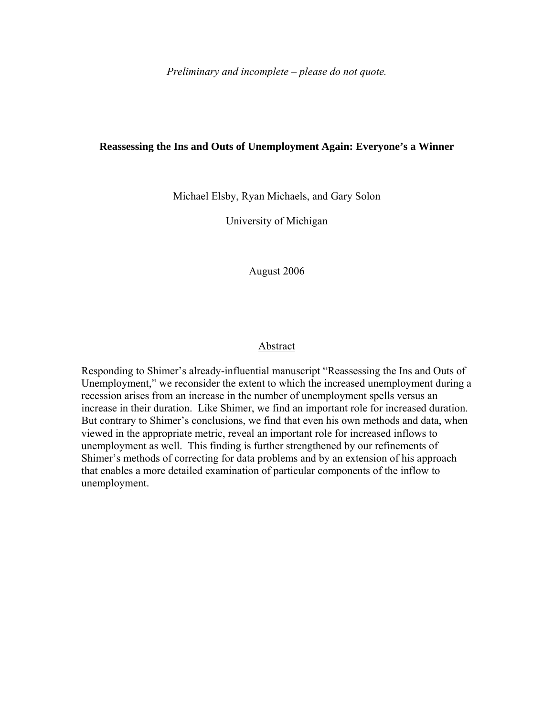*Preliminary and incomplete – please do not quote.*

### **Reassessing the Ins and Outs of Unemployment Again: Everyone's a Winner**

Michael Elsby, Ryan Michaels, and Gary Solon

University of Michigan

August 2006

## Abstract

Responding to Shimer's already-influential manuscript "Reassessing the Ins and Outs of Unemployment," we reconsider the extent to which the increased unemployment during a recession arises from an increase in the number of unemployment spells versus an increase in their duration. Like Shimer, we find an important role for increased duration. But contrary to Shimer's conclusions, we find that even his own methods and data, when viewed in the appropriate metric, reveal an important role for increased inflows to unemployment as well. This finding is further strengthened by our refinements of Shimer's methods of correcting for data problems and by an extension of his approach that enables a more detailed examination of particular components of the inflow to unemployment.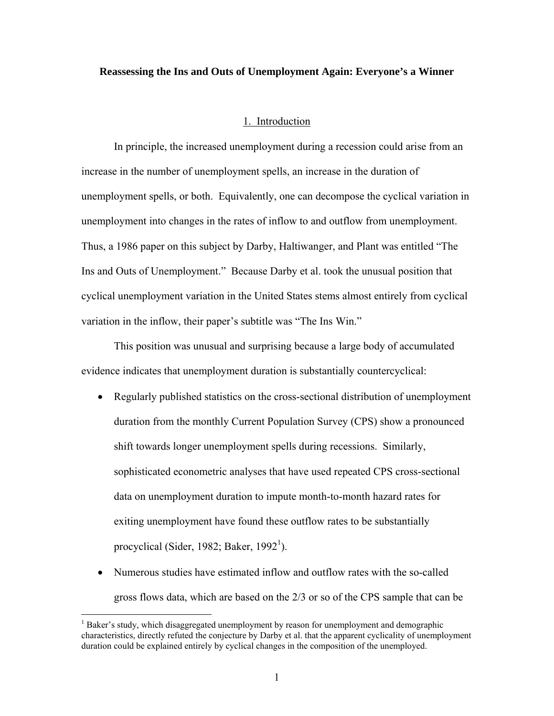### **Reassessing the Ins and Outs of Unemployment Again: Everyone's a Winner**

### 1. Introduction

In principle, the increased unemployment during a recession could arise from an increase in the number of unemployment spells, an increase in the duration of unemployment spells, or both. Equivalently, one can decompose the cyclical variation in unemployment into changes in the rates of inflow to and outflow from unemployment. Thus, a 1986 paper on this subject by Darby, Haltiwanger, and Plant was entitled "The Ins and Outs of Unemployment." Because Darby et al. took the unusual position that cyclical unemployment variation in the United States stems almost entirely from cyclical variation in the inflow, their paper's subtitle was "The Ins Win."

This position was unusual and surprising because a large body of accumulated evidence indicates that unemployment duration is substantially countercyclical:

- Regularly published statistics on the cross-sectional distribution of unemployment duration from the monthly Current Population Survey (CPS) show a pronounced shift towards longer unemployment spells during recessions. Similarly, sophisticated econometric analyses that have used repeated CPS cross-sectional data on unemployment duration to impute month-to-month hazard rates for exiting unemployment have found these outflow rates to be substantially procyclical (Sider, 1982; Baker, 1992<sup>1</sup>).
- Numerous studies have estimated inflow and outflow rates with the so-called gross flows data, which are based on the 2/3 or so of the CPS sample that can be

 $\frac{1}{1}$ <sup>1</sup> Baker's study, which disaggregated unemployment by reason for unemployment and demographic characteristics, directly refuted the conjecture by Darby et al. that the apparent cyclicality of unemployment duration could be explained entirely by cyclical changes in the composition of the unemployed.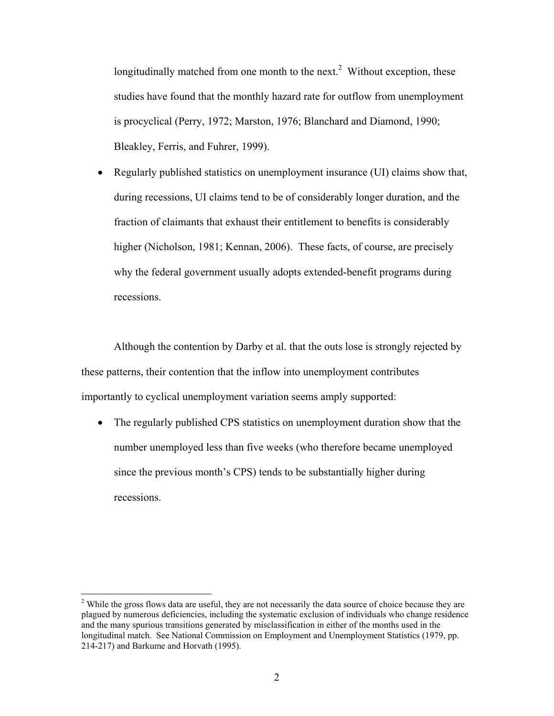longitudinally matched from one month to the next.<sup>2</sup> Without exception, these studies have found that the monthly hazard rate for outflow from unemployment is procyclical (Perry, 1972; Marston, 1976; Blanchard and Diamond, 1990; Bleakley, Ferris, and Fuhrer, 1999).

• Regularly published statistics on unemployment insurance (UI) claims show that, during recessions, UI claims tend to be of considerably longer duration, and the fraction of claimants that exhaust their entitlement to benefits is considerably higher (Nicholson, 1981; Kennan, 2006). These facts, of course, are precisely why the federal government usually adopts extended-benefit programs during recessions.

Although the contention by Darby et al. that the outs lose is strongly rejected by these patterns, their contention that the inflow into unemployment contributes importantly to cyclical unemployment variation seems amply supported:

• The regularly published CPS statistics on unemployment duration show that the number unemployed less than five weeks (who therefore became unemployed since the previous month's CPS) tends to be substantially higher during recessions.

<sup>&</sup>lt;sup>2</sup> While the gross flows data are useful, they are not necessarily the data source of choice because they are plagued by numerous deficiencies, including the systematic exclusion of individuals who change residence and the many spurious transitions generated by misclassification in either of the months used in the longitudinal match. See National Commission on Employment and Unemployment Statistics (1979, pp. 214-217) and Barkume and Horvath (1995).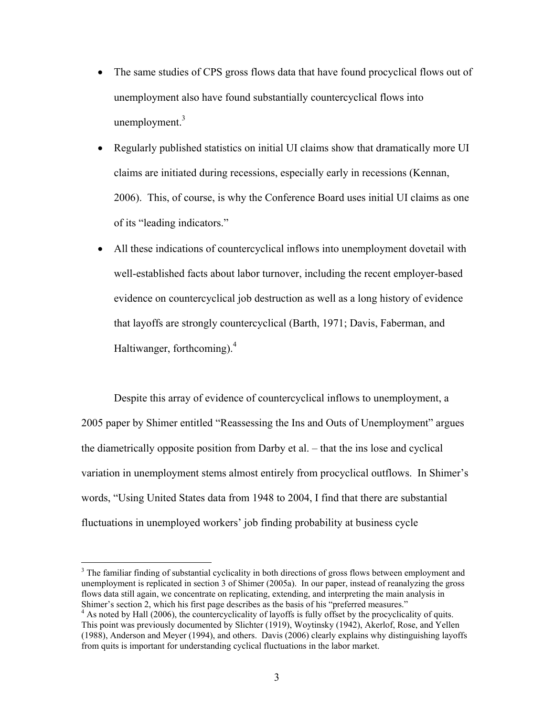- The same studies of CPS gross flows data that have found procyclical flows out of unemployment also have found substantially countercyclical flows into unemployment. $3$
- Regularly published statistics on initial UI claims show that dramatically more UI claims are initiated during recessions, especially early in recessions (Kennan, 2006). This, of course, is why the Conference Board uses initial UI claims as one of its "leading indicators."
- All these indications of countercyclical inflows into unemployment dovetail with well-established facts about labor turnover, including the recent employer-based evidence on countercyclical job destruction as well as a long history of evidence that layoffs are strongly countercyclical (Barth, 1971; Davis, Faberman, and Haltiwanger, forthcoming).<sup>4</sup>

Despite this array of evidence of countercyclical inflows to unemployment, a 2005 paper by Shimer entitled "Reassessing the Ins and Outs of Unemployment" argues the diametrically opposite position from Darby et al. – that the ins lose and cyclical variation in unemployment stems almost entirely from procyclical outflows. In Shimer's words, "Using United States data from 1948 to 2004, I find that there are substantial fluctuations in unemployed workers' job finding probability at business cycle

 $\frac{1}{3}$  $3$  The familiar finding of substantial cyclicality in both directions of gross flows between employment and unemployment is replicated in section 3 of Shimer (2005a). In our paper, instead of reanalyzing the gross flows data still again, we concentrate on replicating, extending, and interpreting the main analysis in Shimer's section 2, which his first page describes as the basis of his "preferred measures." <sup>4</sup>

<sup>&</sup>lt;sup>4</sup> As noted by Hall (2006), the countercyclicality of layoffs is fully offset by the procyclicality of quits. This point was previously documented by Slichter (1919), Woytinsky (1942), Akerlof, Rose, and Yellen (1988), Anderson and Meyer (1994), and others. Davis (2006) clearly explains why distinguishing layoffs from quits is important for understanding cyclical fluctuations in the labor market.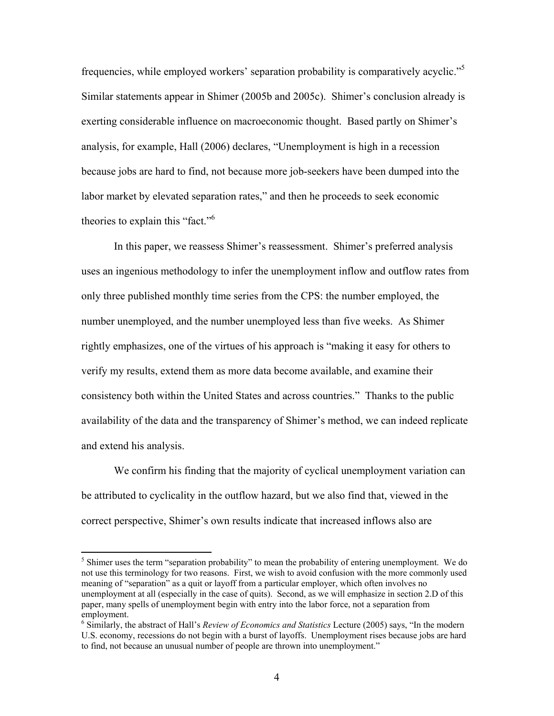frequencies, while employed workers' separation probability is comparatively acyclic."<sup>5</sup> Similar statements appear in Shimer (2005b and 2005c). Shimer's conclusion already is exerting considerable influence on macroeconomic thought. Based partly on Shimer's analysis, for example, Hall (2006) declares, "Unemployment is high in a recession because jobs are hard to find, not because more job-seekers have been dumped into the labor market by elevated separation rates," and then he proceeds to seek economic theories to explain this "fact."6

In this paper, we reassess Shimer's reassessment. Shimer's preferred analysis uses an ingenious methodology to infer the unemployment inflow and outflow rates from only three published monthly time series from the CPS: the number employed, the number unemployed, and the number unemployed less than five weeks. As Shimer rightly emphasizes, one of the virtues of his approach is "making it easy for others to verify my results, extend them as more data become available, and examine their consistency both within the United States and across countries." Thanks to the public availability of the data and the transparency of Shimer's method, we can indeed replicate and extend his analysis.

We confirm his finding that the majority of cyclical unemployment variation can be attributed to cyclicality in the outflow hazard, but we also find that, viewed in the correct perspective, Shimer's own results indicate that increased inflows also are

 $\frac{1}{5}$  $<sup>5</sup>$  Shimer uses the term "separation probability" to mean the probability of entering unemployment. We do</sup> not use this terminology for two reasons. First, we wish to avoid confusion with the more commonly used meaning of "separation" as a quit or layoff from a particular employer, which often involves no unemployment at all (especially in the case of quits). Second, as we will emphasize in section 2.D of this paper, many spells of unemployment begin with entry into the labor force, not a separation from employment.

Similarly, the abstract of Hall's *Review of Economics and Statistics* Lecture (2005) says, "In the modern U.S. economy, recessions do not begin with a burst of layoffs. Unemployment rises because jobs are hard to find, not because an unusual number of people are thrown into unemployment."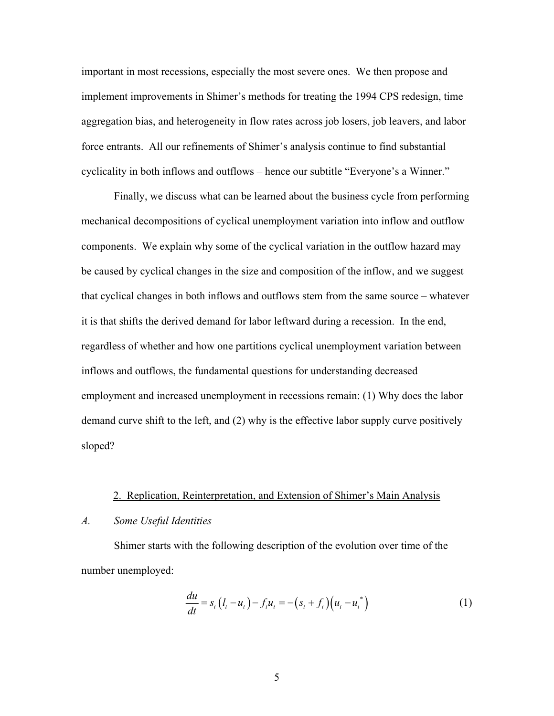important in most recessions, especially the most severe ones. We then propose and implement improvements in Shimer's methods for treating the 1994 CPS redesign, time aggregation bias, and heterogeneity in flow rates across job losers, job leavers, and labor force entrants. All our refinements of Shimer's analysis continue to find substantial cyclicality in both inflows and outflows – hence our subtitle "Everyone's a Winner."

Finally, we discuss what can be learned about the business cycle from performing mechanical decompositions of cyclical unemployment variation into inflow and outflow components. We explain why some of the cyclical variation in the outflow hazard may be caused by cyclical changes in the size and composition of the inflow, and we suggest that cyclical changes in both inflows and outflows stem from the same source – whatever it is that shifts the derived demand for labor leftward during a recession. In the end, regardless of whether and how one partitions cyclical unemployment variation between inflows and outflows, the fundamental questions for understanding decreased employment and increased unemployment in recessions remain: (1) Why does the labor demand curve shift to the left, and (2) why is the effective labor supply curve positively sloped?

#### 2. Replication, Reinterpretation, and Extension of Shimer's Main Analysis

### *A. Some Useful Identities*

Shimer starts with the following description of the evolution over time of the number unemployed:

$$
\frac{du}{dt} = s_t (l_t - u_t) - f_t u_t = -(s_t + f_t) (u_t - u_t^*)
$$
\n(1)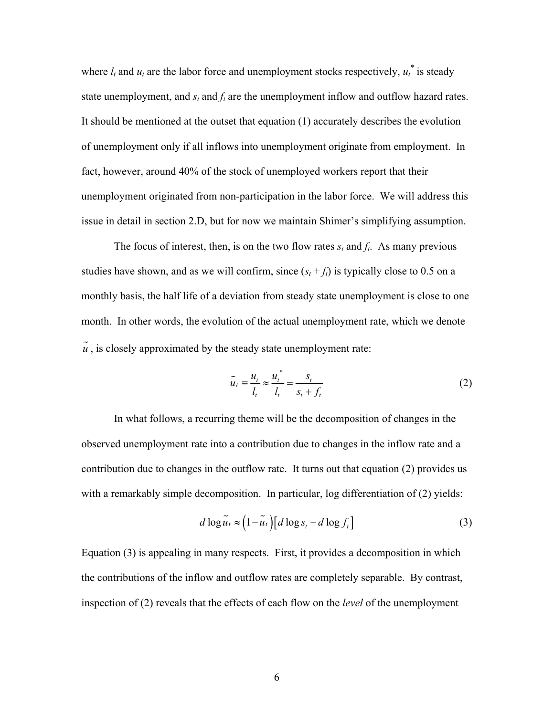where  $l_t$  and  $u_t$  are the labor force and unemployment stocks respectively,  $u_t^*$  is steady state unemployment, and  $s_t$  and  $f_t$  are the unemployment inflow and outflow hazard rates. It should be mentioned at the outset that equation (1) accurately describes the evolution of unemployment only if all inflows into unemployment originate from employment. In fact, however, around 40% of the stock of unemployed workers report that their unemployment originated from non-participation in the labor force. We will address this issue in detail in section 2.D, but for now we maintain Shimer's simplifying assumption.

The focus of interest, then, is on the two flow rates  $s_t$  and  $f_t$ . As many previous studies have shown, and as we will confirm, since  $(s_t + f_t)$  is typically close to 0.5 on a monthly basis, the half life of a deviation from steady state unemployment is close to one month. In other words, the evolution of the actual unemployment rate, which we denote  $\tilde{u}$ , is closely approximated by the steady state unemployment rate:

$$
\widetilde{u}_t \equiv \frac{u_t}{l_t} \approx \frac{u_t^*}{l_t} = \frac{s_t}{s_t + f_t} \tag{2}
$$

In what follows, a recurring theme will be the decomposition of changes in the observed unemployment rate into a contribution due to changes in the inflow rate and a contribution due to changes in the outflow rate. It turns out that equation (2) provides us with a remarkably simple decomposition. In particular, log differentiation of (2) yields:

$$
d \log \tilde{u}_t \approx \left(1 - \tilde{u}_t\right) \left[d \log s_t - d \log f_t\right] \tag{3}
$$

Equation (3) is appealing in many respects. First, it provides a decomposition in which the contributions of the inflow and outflow rates are completely separable. By contrast, inspection of (2) reveals that the effects of each flow on the *level* of the unemployment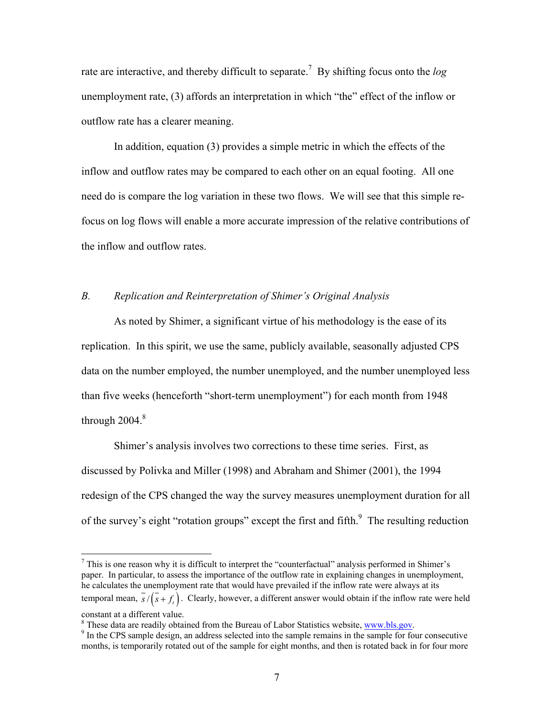rate are interactive, and thereby difficult to separate.7 By shifting focus onto the *log* unemployment rate, (3) affords an interpretation in which "the" effect of the inflow or outflow rate has a clearer meaning.

In addition, equation (3) provides a simple metric in which the effects of the inflow and outflow rates may be compared to each other on an equal footing. All one need do is compare the log variation in these two flows. We will see that this simple refocus on log flows will enable a more accurate impression of the relative contributions of the inflow and outflow rates

# *B. Replication and Reinterpretation of Shimer's Original Analysis*

As noted by Shimer, a significant virtue of his methodology is the ease of its replication. In this spirit, we use the same, publicly available, seasonally adjusted CPS data on the number employed, the number unemployed, and the number unemployed less than five weeks (henceforth "short-term unemployment") for each month from 1948 through  $2004.<sup>8</sup>$ 

Shimer's analysis involves two corrections to these time series. First, as discussed by Polivka and Miller (1998) and Abraham and Shimer (2001), the 1994 redesign of the CPS changed the way the survey measures unemployment duration for all of the survey's eight "rotation groups" except the first and fifth. $\frac{9}{10}$  The resulting reduction

 $\frac{1}{7}$  $\frac{7}{1}$  This is one reason why it is difficult to interpret the "counterfactual" analysis performed in Shimer's paper. In particular, to assess the importance of the outflow rate in explaining changes in unemployment, he calculates the unemployment rate that would have prevailed if the inflow rate were always at its temporal mean,  $\overline{s}/(\overline{s} + f)$ . Clearly, however, a different answer would obtain if the inflow rate were held constant at a different value.

<sup>&</sup>lt;sup>8</sup> These data are readily obtained from the Bureau of Labor Statistics website, www.bls.gov.

<sup>&</sup>lt;sup>9</sup> In the CPS sample design, an address selected into the sample remains in the sample for four consecutive months, is temporarily rotated out of the sample for eight months, and then is rotated back in for four more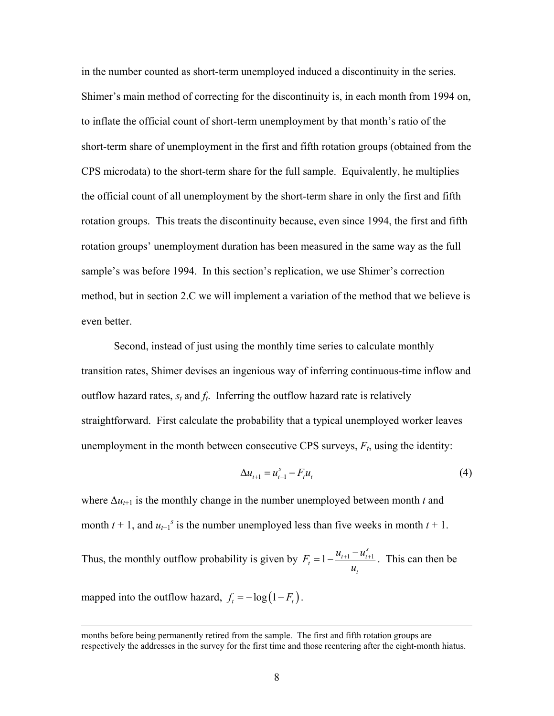in the number counted as short-term unemployed induced a discontinuity in the series. Shimer's main method of correcting for the discontinuity is, in each month from 1994 on, to inflate the official count of short-term unemployment by that month's ratio of the short-term share of unemployment in the first and fifth rotation groups (obtained from the CPS microdata) to the short-term share for the full sample. Equivalently, he multiplies the official count of all unemployment by the short-term share in only the first and fifth rotation groups. This treats the discontinuity because, even since 1994, the first and fifth rotation groups' unemployment duration has been measured in the same way as the full sample's was before 1994. In this section's replication, we use Shimer's correction method, but in section 2.C we will implement a variation of the method that we believe is even better.

Second, instead of just using the monthly time series to calculate monthly transition rates, Shimer devises an ingenious way of inferring continuous-time inflow and outflow hazard rates,  $s_t$  and  $f_t$ . Inferring the outflow hazard rate is relatively straightforward. First calculate the probability that a typical unemployed worker leaves unemployment in the month between consecutive CPS surveys,  $F_t$ , using the identity:

$$
\Delta u_{t+1} = u_{t+1}^s - F_t u_t \tag{4}
$$

where  $\Delta u$ <sub>t+1</sub> is the monthly change in the number unemployed between month *t* and month  $t + 1$ , and  $u_{t+1}$ <sup>*s*</sup> is the number unemployed less than five weeks in month  $t + 1$ .

Thus, the monthly outflow probability is given by  $F_t = 1 - \frac{u_{t+1} - u_{t+1}}{u_{t+1}}$ *s*  $\frac{t}{t} = 1 - \frac{u_{t+1} - u_t}{t}$ *t*  $F_t = 1 - \frac{u_{t+1} - u}{u_t}$ *u*  $= 1 - \frac{u_{t+1} - u_{t+1}^s}{u_{t+1}}$ . This can then be

mapped into the outflow hazard,  $f_t = -\log(1 - F_t)$ .

months before being permanently retired from the sample. The first and fifth rotation groups are respectively the addresses in the survey for the first time and those reentering after the eight-month hiatus.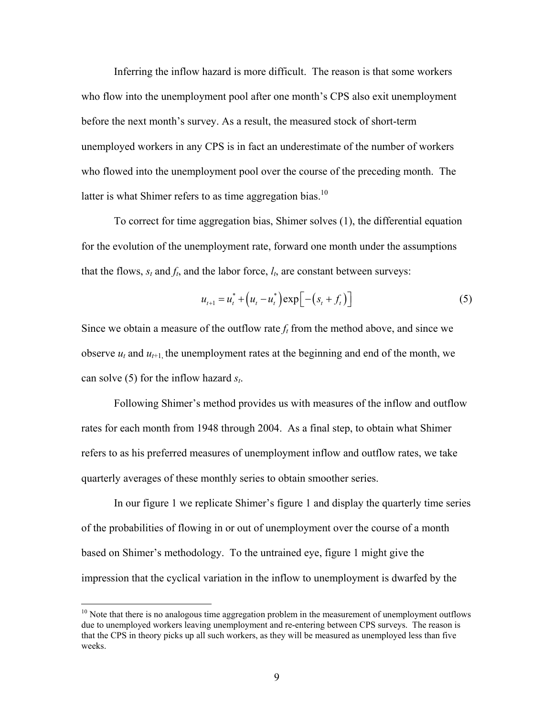Inferring the inflow hazard is more difficult. The reason is that some workers who flow into the unemployment pool after one month's CPS also exit unemployment before the next month's survey. As a result, the measured stock of short-term unemployed workers in any CPS is in fact an underestimate of the number of workers who flowed into the unemployment pool over the course of the preceding month. The latter is what Shimer refers to as time aggregation bias.<sup>10</sup>

To correct for time aggregation bias, Shimer solves (1), the differential equation for the evolution of the unemployment rate, forward one month under the assumptions that the flows,  $s_t$  and  $f_t$ , and the labor force,  $l_t$ , are constant between surveys:

$$
u_{t+1} = u_t^* + (u_t - u_t^*) \exp\big[ -(s_t + f_t) \big]
$$
 (5)

Since we obtain a measure of the outflow rate  $f_t$  from the method above, and since we observe  $u_t$  and  $u_{t+1}$ , the unemployment rates at the beginning and end of the month, we can solve (5) for the inflow hazard *st*.

Following Shimer's method provides us with measures of the inflow and outflow rates for each month from 1948 through 2004. As a final step, to obtain what Shimer refers to as his preferred measures of unemployment inflow and outflow rates, we take quarterly averages of these monthly series to obtain smoother series.

In our figure 1 we replicate Shimer's figure 1 and display the quarterly time series of the probabilities of flowing in or out of unemployment over the course of a month based on Shimer's methodology. To the untrained eye, figure 1 might give the impression that the cyclical variation in the inflow to unemployment is dwarfed by the

 $10<sup>10</sup>$  Note that there is no analogous time aggregation problem in the measurement of unemployment outflows due to unemployed workers leaving unemployment and re-entering between CPS surveys. The reason is that the CPS in theory picks up all such workers, as they will be measured as unemployed less than five weeks.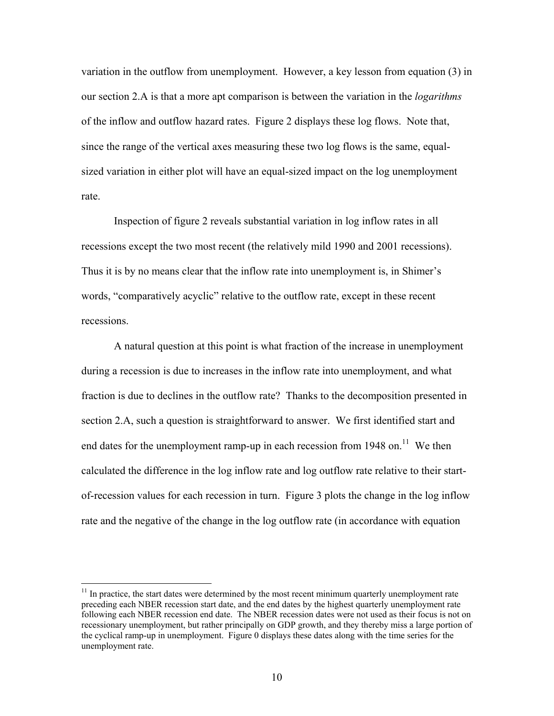variation in the outflow from unemployment. However, a key lesson from equation (3) in our section 2.A is that a more apt comparison is between the variation in the *logarithms* of the inflow and outflow hazard rates. Figure 2 displays these log flows. Note that, since the range of the vertical axes measuring these two log flows is the same, equalsized variation in either plot will have an equal-sized impact on the log unemployment rate.

Inspection of figure 2 reveals substantial variation in log inflow rates in all recessions except the two most recent (the relatively mild 1990 and 2001 recessions). Thus it is by no means clear that the inflow rate into unemployment is, in Shimer's words, "comparatively acyclic" relative to the outflow rate, except in these recent recessions.

A natural question at this point is what fraction of the increase in unemployment during a recession is due to increases in the inflow rate into unemployment, and what fraction is due to declines in the outflow rate? Thanks to the decomposition presented in section 2.A, such a question is straightforward to answer. We first identified start and end dates for the unemployment ramp-up in each recession from 1948 on.<sup>11</sup> We then calculated the difference in the log inflow rate and log outflow rate relative to their startof-recession values for each recession in turn. Figure 3 plots the change in the log inflow rate and the negative of the change in the log outflow rate (in accordance with equation

 $11$  In practice, the start dates were determined by the most recent minimum quarterly unemployment rate preceding each NBER recession start date, and the end dates by the highest quarterly unemployment rate following each NBER recession end date. The NBER recession dates were not used as their focus is not on recessionary unemployment, but rather principally on GDP growth, and they thereby miss a large portion of the cyclical ramp-up in unemployment. Figure 0 displays these dates along with the time series for the unemployment rate.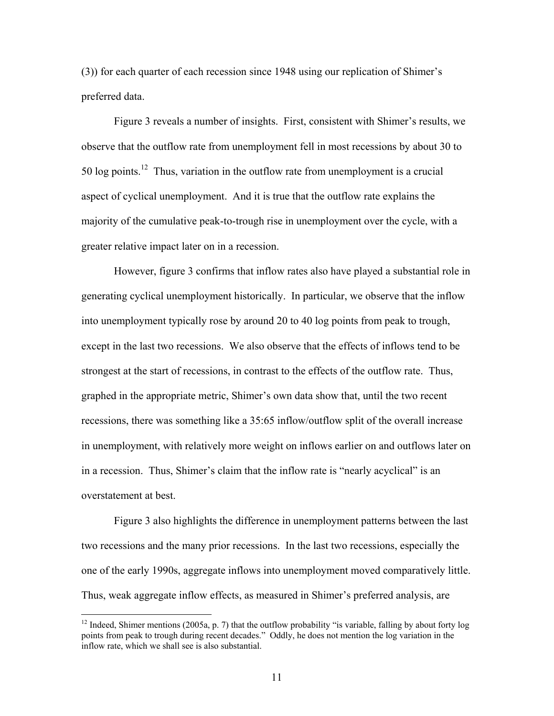(3)) for each quarter of each recession since 1948 using our replication of Shimer's preferred data.

Figure 3 reveals a number of insights. First, consistent with Shimer's results, we observe that the outflow rate from unemployment fell in most recessions by about 30 to 50 log points.<sup>12</sup> Thus, variation in the outflow rate from unemployment is a crucial aspect of cyclical unemployment. And it is true that the outflow rate explains the majority of the cumulative peak-to-trough rise in unemployment over the cycle, with a greater relative impact later on in a recession.

However, figure 3 confirms that inflow rates also have played a substantial role in generating cyclical unemployment historically. In particular, we observe that the inflow into unemployment typically rose by around 20 to 40 log points from peak to trough, except in the last two recessions. We also observe that the effects of inflows tend to be strongest at the start of recessions, in contrast to the effects of the outflow rate. Thus, graphed in the appropriate metric, Shimer's own data show that, until the two recent recessions, there was something like a 35:65 inflow/outflow split of the overall increase in unemployment, with relatively more weight on inflows earlier on and outflows later on in a recession. Thus, Shimer's claim that the inflow rate is "nearly acyclical" is an overstatement at best.

Figure 3 also highlights the difference in unemployment patterns between the last two recessions and the many prior recessions. In the last two recessions, especially the one of the early 1990s, aggregate inflows into unemployment moved comparatively little. Thus, weak aggregate inflow effects, as measured in Shimer's preferred analysis, are

<sup>&</sup>lt;sup>12</sup> Indeed, Shimer mentions (2005a, p. 7) that the outflow probability "is variable, falling by about forty log points from peak to trough during recent decades." Oddly, he does not mention the log variation in the inflow rate, which we shall see is also substantial.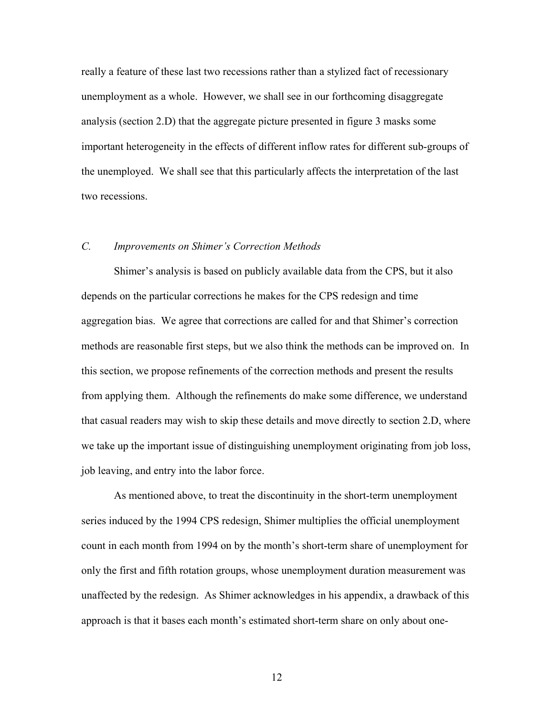really a feature of these last two recessions rather than a stylized fact of recessionary unemployment as a whole. However, we shall see in our forthcoming disaggregate analysis (section 2.D) that the aggregate picture presented in figure 3 masks some important heterogeneity in the effects of different inflow rates for different sub-groups of the unemployed. We shall see that this particularly affects the interpretation of the last two recessions.

# *C. Improvements on Shimer's Correction Methods*

Shimer's analysis is based on publicly available data from the CPS, but it also depends on the particular corrections he makes for the CPS redesign and time aggregation bias. We agree that corrections are called for and that Shimer's correction methods are reasonable first steps, but we also think the methods can be improved on. In this section, we propose refinements of the correction methods and present the results from applying them. Although the refinements do make some difference, we understand that casual readers may wish to skip these details and move directly to section 2.D, where we take up the important issue of distinguishing unemployment originating from job loss, job leaving, and entry into the labor force.

As mentioned above, to treat the discontinuity in the short-term unemployment series induced by the 1994 CPS redesign, Shimer multiplies the official unemployment count in each month from 1994 on by the month's short-term share of unemployment for only the first and fifth rotation groups, whose unemployment duration measurement was unaffected by the redesign. As Shimer acknowledges in his appendix, a drawback of this approach is that it bases each month's estimated short-term share on only about one-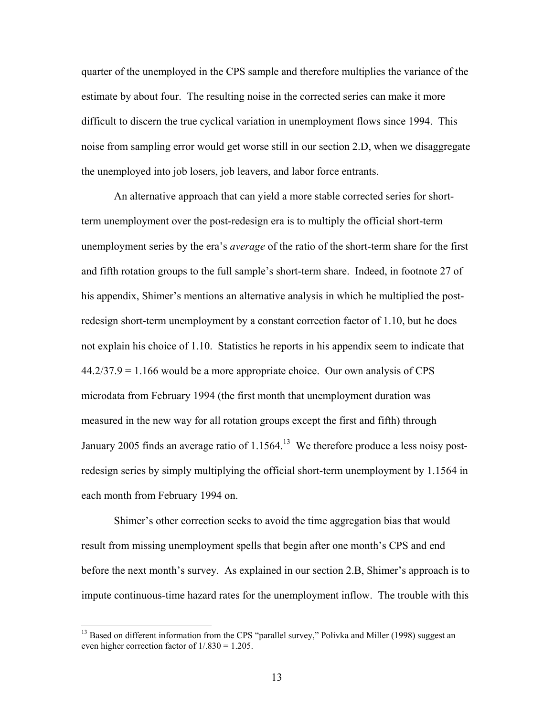quarter of the unemployed in the CPS sample and therefore multiplies the variance of the estimate by about four. The resulting noise in the corrected series can make it more difficult to discern the true cyclical variation in unemployment flows since 1994. This noise from sampling error would get worse still in our section 2.D, when we disaggregate the unemployed into job losers, job leavers, and labor force entrants.

An alternative approach that can yield a more stable corrected series for shortterm unemployment over the post-redesign era is to multiply the official short-term unemployment series by the era's *average* of the ratio of the short-term share for the first and fifth rotation groups to the full sample's short-term share. Indeed, in footnote 27 of his appendix, Shimer's mentions an alternative analysis in which he multiplied the postredesign short-term unemployment by a constant correction factor of 1.10, but he does not explain his choice of 1.10. Statistics he reports in his appendix seem to indicate that  $44.2/37.9 = 1.166$  would be a more appropriate choice. Our own analysis of CPS microdata from February 1994 (the first month that unemployment duration was measured in the new way for all rotation groups except the first and fifth) through January 2005 finds an average ratio of  $1.1564$ <sup>13</sup> We therefore produce a less noisy postredesign series by simply multiplying the official short-term unemployment by 1.1564 in each month from February 1994 on.

Shimer's other correction seeks to avoid the time aggregation bias that would result from missing unemployment spells that begin after one month's CPS and end before the next month's survey. As explained in our section 2.B, Shimer's approach is to impute continuous-time hazard rates for the unemployment inflow. The trouble with this

<sup>&</sup>lt;sup>13</sup> Based on different information from the CPS "parallel survey," Polivka and Miller (1998) suggest an even higher correction factor of  $1/0.830 = 1.205$ .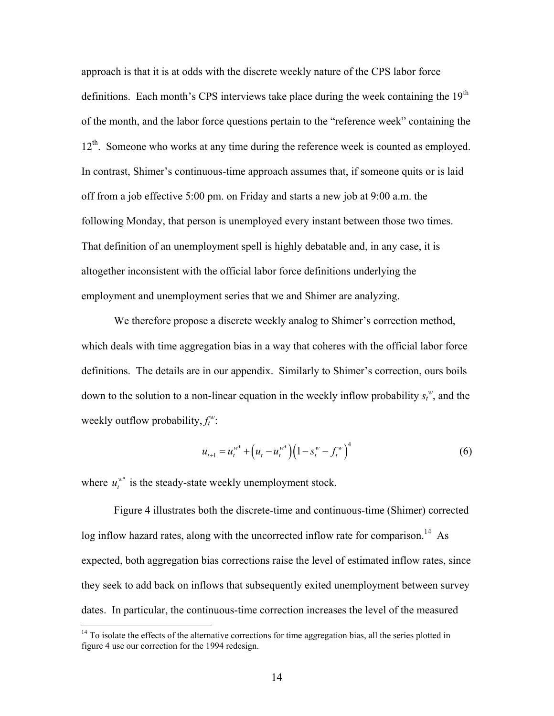approach is that it is at odds with the discrete weekly nature of the CPS labor force definitions. Each month's CPS interviews take place during the week containing the  $19<sup>th</sup>$ of the month, and the labor force questions pertain to the "reference week" containing the 12<sup>th</sup>. Someone who works at any time during the reference week is counted as employed. In contrast, Shimer's continuous-time approach assumes that, if someone quits or is laid off from a job effective 5:00 pm. on Friday and starts a new job at 9:00 a.m. the following Monday, that person is unemployed every instant between those two times. That definition of an unemployment spell is highly debatable and, in any case, it is altogether inconsistent with the official labor force definitions underlying the employment and unemployment series that we and Shimer are analyzing.

We therefore propose a discrete weekly analog to Shimer's correction method, which deals with time aggregation bias in a way that coheres with the official labor force definitions. The details are in our appendix. Similarly to Shimer's correction, ours boils down to the solution to a non-linear equation in the weekly inflow probability  $s_t^w$ , and the weekly outflow probability,  $f_t^w$ :

$$
u_{t+1} = u_t^{w^*} + (u_t - u_t^{w^*})(1 - s_t^w - f_t^w)^4
$$
\n<sup>(6)</sup>

where  $u_t^{\psi^*}$  is the steady-state weekly unemployment stock.

1

Figure 4 illustrates both the discrete-time and continuous-time (Shimer) corrected log inflow hazard rates, along with the uncorrected inflow rate for comparison.<sup>14</sup> As expected, both aggregation bias corrections raise the level of estimated inflow rates, since they seek to add back on inflows that subsequently exited unemployment between survey dates. In particular, the continuous-time correction increases the level of the measured

 $14$  To isolate the effects of the alternative corrections for time aggregation bias, all the series plotted in figure 4 use our correction for the 1994 redesign.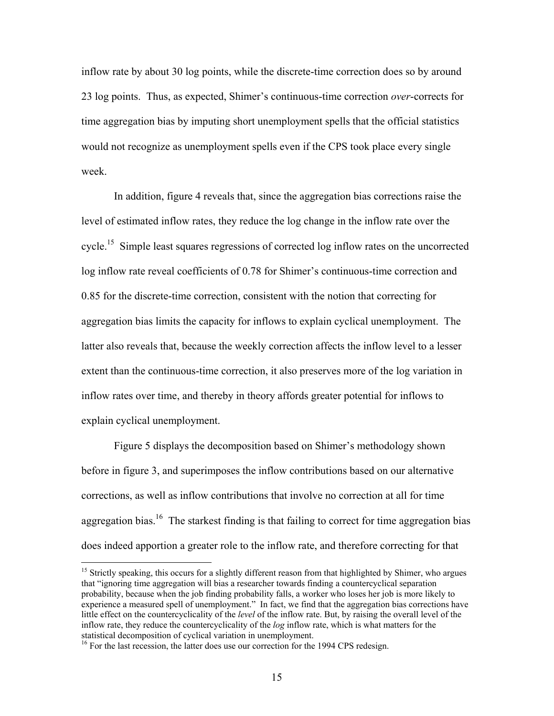inflow rate by about 30 log points, while the discrete-time correction does so by around 23 log points. Thus, as expected, Shimer's continuous-time correction *over*-corrects for time aggregation bias by imputing short unemployment spells that the official statistics would not recognize as unemployment spells even if the CPS took place every single week.

In addition, figure 4 reveals that, since the aggregation bias corrections raise the level of estimated inflow rates, they reduce the log change in the inflow rate over the cycle.<sup>15</sup> Simple least squares regressions of corrected log inflow rates on the uncorrected log inflow rate reveal coefficients of 0.78 for Shimer's continuous-time correction and 0.85 for the discrete-time correction, consistent with the notion that correcting for aggregation bias limits the capacity for inflows to explain cyclical unemployment. The latter also reveals that, because the weekly correction affects the inflow level to a lesser extent than the continuous-time correction, it also preserves more of the log variation in inflow rates over time, and thereby in theory affords greater potential for inflows to explain cyclical unemployment.

Figure 5 displays the decomposition based on Shimer's methodology shown before in figure 3, and superimposes the inflow contributions based on our alternative corrections, as well as inflow contributions that involve no correction at all for time aggregation bias.<sup>16</sup> The starkest finding is that failing to correct for time aggregation bias does indeed apportion a greater role to the inflow rate, and therefore correcting for that

<sup>&</sup>lt;sup>15</sup> Strictly speaking, this occurs for a slightly different reason from that highlighted by Shimer, who argues that "ignoring time aggregation will bias a researcher towards finding a countercyclical separation probability, because when the job finding probability falls, a worker who loses her job is more likely to experience a measured spell of unemployment." In fact, we find that the aggregation bias corrections have little effect on the countercyclicality of the *level* of the inflow rate. But, by raising the overall level of the inflow rate, they reduce the countercyclicality of the *log* inflow rate, which is what matters for the statistical decomposition of cyclical variation in unemployment.<br><sup>16</sup> For the last recession, the latter does use our correction for the 1994 CPS redesign.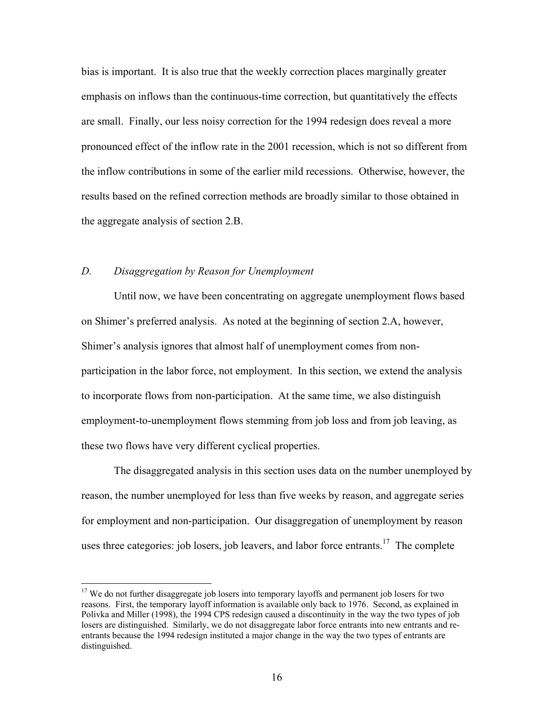bias is important. It is also true that the weekly correction places marginally greater emphasis on inflows than the continuous-time correction, but quantitatively the effects are small. Finally, our less noisy correction for the 1994 redesign does reveal a more pronounced effect of the inflow rate in the 2001 recession, which is not so different from the inflow contributions in some of the earlier mild recessions. Otherwise, however, the results based on the refined correction methods are broadly similar to those obtained in the aggregate analysis of section 2.B.

### *D. Disaggregation by Reason for Unemployment*

Until now, we have been concentrating on aggregate unemployment flows based on Shimer's preferred analysis. As noted at the beginning of section 2.A, however, Shimer's analysis ignores that almost half of unemployment comes from nonparticipation in the labor force, not employment. In this section, we extend the analysis to incorporate flows from non-participation. At the same time, we also distinguish employment-to-unemployment flows stemming from job loss and from job leaving, as these two flows have very different cyclical properties.

The disaggregated analysis in this section uses data on the number unemployed by reason, the number unemployed for less than five weeks by reason, and aggregate series for employment and non-participation. Our disaggregation of unemployment by reason uses three categories: job losers, job leavers, and labor force entrants.<sup>17</sup> The complete

<sup>&</sup>lt;sup>17</sup> We do not further disaggregate job losers into temporary layoffs and permanent job losers for two reasons. First, the temporary layoff information is available only back to 1976. Second, as explained in Polivka and Miller (1998), the 1994 CPS redesign caused a discontinuity in the way the two types of job losers are distinguished. Similarly, we do not disaggregate labor force entrants into new entrants and reentrants because the 1994 redesign instituted a major change in the way the two types of entrants are distinguished.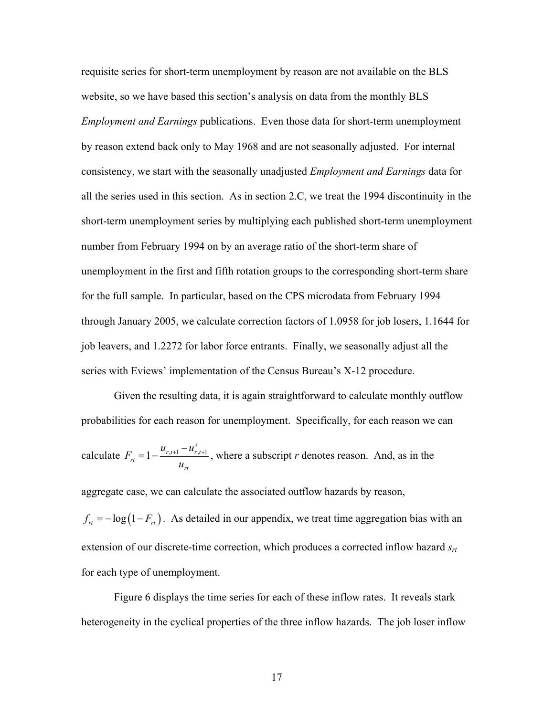requisite series for short-term unemployment by reason are not available on the BLS website, so we have based this section's analysis on data from the monthly BLS *Employment and Earnings* publications. Even those data for short-term unemployment by reason extend back only to May 1968 and are not seasonally adjusted. For internal consistency, we start with the seasonally unadjusted *Employment and Earnings* data for all the series used in this section. As in section 2.C, we treat the 1994 discontinuity in the short-term unemployment series by multiplying each published short-term unemployment number from February 1994 on by an average ratio of the short-term share of unemployment in the first and fifth rotation groups to the corresponding short-term share for the full sample. In particular, based on the CPS microdata from February 1994 through January 2005, we calculate correction factors of 1.0958 for job losers, 1.1644 for job leavers, and 1.2272 for labor force entrants. Finally, we seasonally adjust all the series with Eviews' implementation of the Census Bureau's X-12 procedure.

Given the resulting data, it is again straightforward to calculate monthly outflow probabilities for each reason for unemployment. Specifically, for each reason we can calculate  $F_{r} = 1 - \frac{u_{r,t+1} - u_{r,t+1}}{u_{r,t+1}}$ *s*  $r_{,t+1} - u_{r,t}$ *rt rt*  $u_{r+1} - u$ *F u*  $= 1 - \frac{u_{r,t+1} - u_{r,t+1}^s}{u_{r,t+1}}$ , where a subscript *r* denotes reason. And, as in the  $f_{rt} = -\log(1 - F_{rt})$ . As detailed in our appendix, we treat time aggregation bias with an aggregate case, we can calculate the associated outflow hazards by reason, extension of our discrete-time correction, which produces a corrected inflow hazard  $s_{rt}$ for each type of unemployment.

Figure 6 displays the time series for each of these inflow rates. It reveals stark heterogeneity in the cyclical properties of the three inflow hazards. The job loser inflow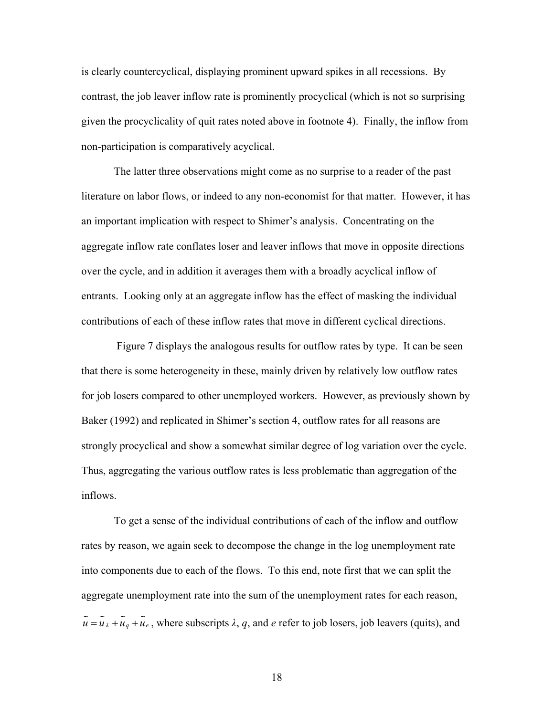is clearly countercyclical, displaying prominent upward spikes in all recessions. By contrast, the job leaver inflow rate is prominently procyclical (which is not so surprising given the procyclicality of quit rates noted above in footnote 4). Finally, the inflow from non-participation is comparatively acyclical.

The latter three observations might come as no surprise to a reader of the past literature on labor flows, or indeed to any non-economist for that matter. However, it has an important implication with respect to Shimer's analysis. Concentrating on the aggregate inflow rate conflates loser and leaver inflows that move in opposite directions over the cycle, and in addition it averages them with a broadly acyclical inflow of entrants. Looking only at an aggregate inflow has the effect of masking the individual contributions of each of these inflow rates that move in different cyclical directions.

 Figure 7 displays the analogous results for outflow rates by type. It can be seen that there is some heterogeneity in these, mainly driven by relatively low outflow rates for job losers compared to other unemployed workers. However, as previously shown by Baker (1992) and replicated in Shimer's section 4, outflow rates for all reasons are strongly procyclical and show a somewhat similar degree of log variation over the cycle. Thus, aggregating the various outflow rates is less problematic than aggregation of the inflows.

To get a sense of the individual contributions of each of the inflow and outflow rates by reason, we again seek to decompose the change in the log unemployment rate into components due to each of the flows. To this end, note first that we can split the aggregate unemployment rate into the sum of the unemployment rates for each reason,  $\tilde{u} = \tilde{u}_\lambda + \tilde{u}_q + \tilde{u}_e$ , where subscripts  $\lambda$ , q, and e refer to job losers, job leavers (quits), and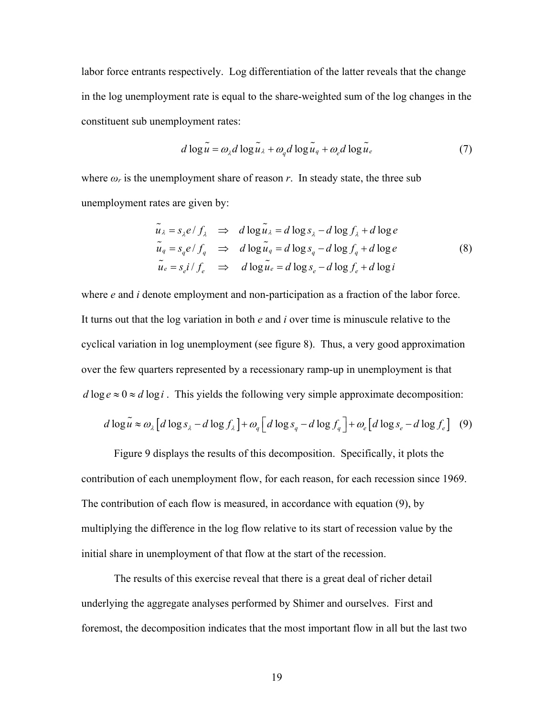labor force entrants respectively. Log differentiation of the latter reveals that the change in the log unemployment rate is equal to the share-weighted sum of the log changes in the constituent sub unemployment rates:

$$
d \log \tilde{u} = \omega_{\lambda} d \log \tilde{u}_{\lambda} + \omega_q d \log \tilde{u}_q + \omega_e d \log \tilde{u}_e
$$
 (7)

where  $\omega_r$  is the unemployment share of reason  $r$ . In steady state, the three sub unemployment rates are given by:

$$
\tilde{u}_{\lambda} = s_{\lambda} e / f_{\lambda} \implies d \log \tilde{u}_{\lambda} = d \log s_{\lambda} - d \log f_{\lambda} + d \log e
$$
\n
$$
\tilde{u}_{q} = s_{q} e / f_{q} \implies d \log \tilde{u}_{q} = d \log s_{q} - d \log f_{q} + d \log e
$$
\n
$$
\tilde{u}_{e} = s_{e} i / f_{e} \implies d \log \tilde{u}_{e} = d \log s_{e} - d \log f_{e} + d \log i
$$
\n(8)

*d* log  $e \approx 0 \approx d \log i$ . This yields the following very simple approximate decomposition: where *e* and *i* denote employment and non-participation as a fraction of the labor force. It turns out that the log variation in both *e* and *i* over time is minuscule relative to the cyclical variation in log unemployment (see figure 8). Thus, a very good approximation over the few quarters represented by a recessionary ramp-up in unemployment is that

$$
d \log \tilde{u} \approx \omega_{\lambda} \left[ d \log s_{\lambda} - d \log f_{\lambda} \right] + \omega_{q} \left[ d \log s_{q} - d \log f_{q} \right] + \omega_{e} \left[ d \log s_{e} - d \log f_{e} \right] \tag{9}
$$

Figure 9 displays the results of this decomposition. Specifically, it plots the contribution of each unemployment flow, for each reason, for each recession since 1969. The contribution of each flow is measured, in accordance with equation (9), by multiplying the difference in the log flow relative to its start of recession value by the initial share in unemployment of that flow at the start of the recession.

The results of this exercise reveal that there is a great deal of richer detail underlying the aggregate analyses performed by Shimer and ourselves. First and foremost, the decomposition indicates that the most important flow in all but the last two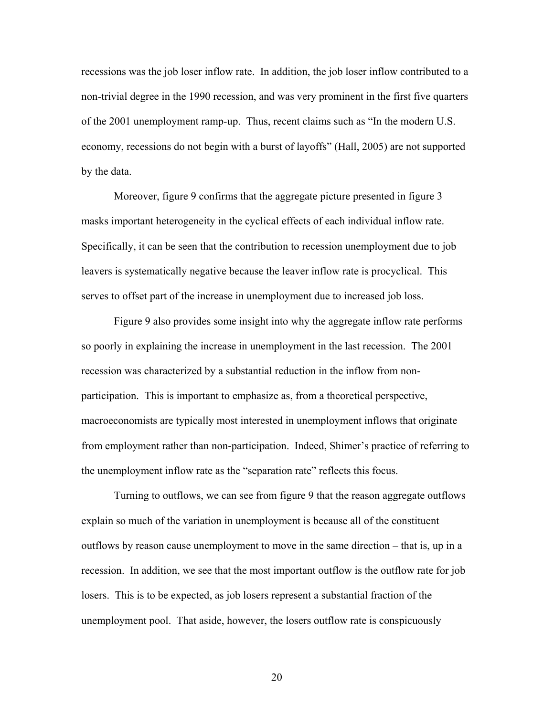recessions was the job loser inflow rate. In addition, the job loser inflow contributed to a non-trivial degree in the 1990 recession, and was very prominent in the first five quarters of the 2001 unemployment ramp-up. Thus, recent claims such as "In the modern U.S. economy, recessions do not begin with a burst of layoffs" (Hall, 2005) are not supported by the data.

Moreover, figure 9 confirms that the aggregate picture presented in figure 3 masks important heterogeneity in the cyclical effects of each individual inflow rate. Specifically, it can be seen that the contribution to recession unemployment due to job leavers is systematically negative because the leaver inflow rate is procyclical. This serves to offset part of the increase in unemployment due to increased job loss.

Figure 9 also provides some insight into why the aggregate inflow rate performs so poorly in explaining the increase in unemployment in the last recession. The 2001 recession was characterized by a substantial reduction in the inflow from nonparticipation. This is important to emphasize as, from a theoretical perspective, macroeconomists are typically most interested in unemployment inflows that originate from employment rather than non-participation. Indeed, Shimer's practice of referring to the unemployment inflow rate as the "separation rate" reflects this focus.

Turning to outflows, we can see from figure 9 that the reason aggregate outflows explain so much of the variation in unemployment is because all of the constituent outflows by reason cause unemployment to move in the same direction – that is, up in a recession. In addition, we see that the most important outflow is the outflow rate for job losers. This is to be expected, as job losers represent a substantial fraction of the unemployment pool. That aside, however, the losers outflow rate is conspicuously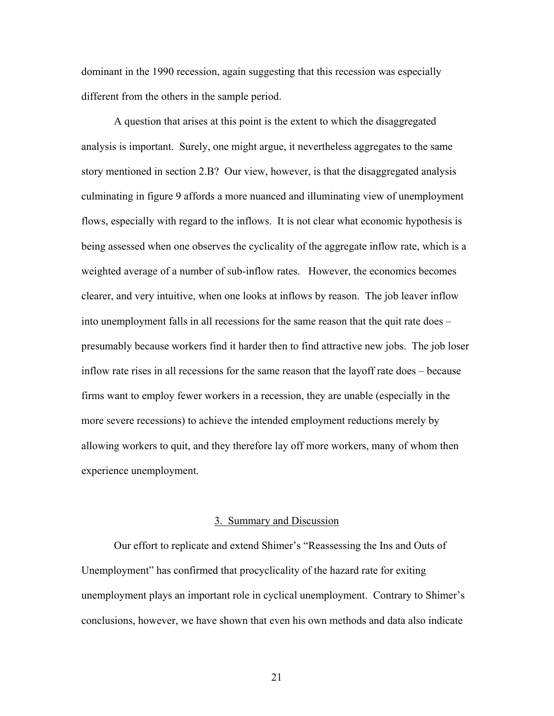dominant in the 1990 recession, again suggesting that this recession was especially different from the others in the sample period.

A question that arises at this point is the extent to which the disaggregated analysis is important. Surely, one might argue, it nevertheless aggregates to the same story mentioned in section 2.B? Our view, however, is that the disaggregated analysis culminating in figure 9 affords a more nuanced and illuminating view of unemployment flows, especially with regard to the inflows. It is not clear what economic hypothesis is being assessed when one observes the cyclicality of the aggregate inflow rate, which is a weighted average of a number of sub-inflow rates. However, the economics becomes clearer, and very intuitive, when one looks at inflows by reason. The job leaver inflow into unemployment falls in all recessions for the same reason that the quit rate does – presumably because workers find it harder then to find attractive new jobs. The job loser inflow rate rises in all recessions for the same reason that the layoff rate does – because firms want to employ fewer workers in a recession, they are unable (especially in the more severe recessions) to achieve the intended employment reductions merely by allowing workers to quit, and they therefore lay off more workers, many of whom then experience unemployment.

#### 3. Summary and Discussion

Our effort to replicate and extend Shimer's "Reassessing the Ins and Outs of Unemployment" has confirmed that procyclicality of the hazard rate for exiting unemployment plays an important role in cyclical unemployment. Contrary to Shimer's conclusions, however, we have shown that even his own methods and data also indicate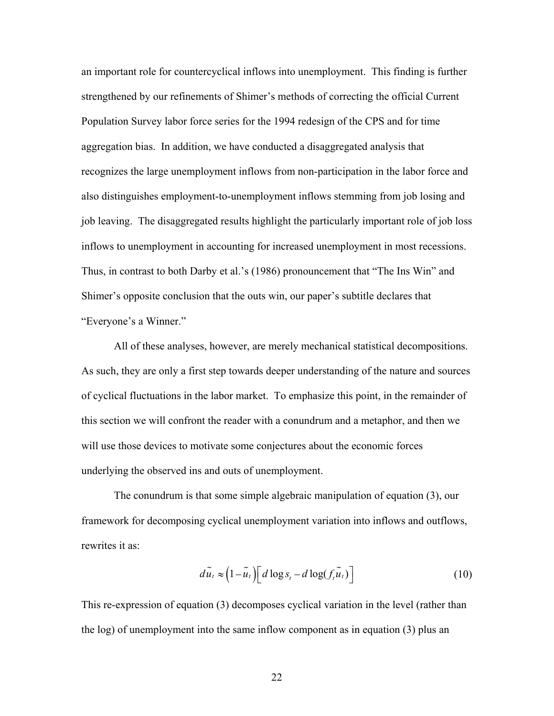an important role for countercyclical inflows into unemployment. This finding is further strengthened by our refinements of Shimer's methods of correcting the official Current Population Survey labor force series for the 1994 redesign of the CPS and for time aggregation bias. In addition, we have conducted a disaggregated analysis that recognizes the large unemployment inflows from non-participation in the labor force and also distinguishes employment-to-unemployment inflows stemming from job losing and job leaving. The disaggregated results highlight the particularly important role of job loss inflows to unemployment in accounting for increased unemployment in most recessions. Thus, in contrast to both Darby et al.'s (1986) pronouncement that "The Ins Win" and Shimer's opposite conclusion that the outs win, our paper's subtitle declares that "Everyone's a Winner."

All of these analyses, however, are merely mechanical statistical decompositions. As such, they are only a first step towards deeper understanding of the nature and sources of cyclical fluctuations in the labor market. To emphasize this point, in the remainder of this section we will confront the reader with a conundrum and a metaphor, and then we will use those devices to motivate some conjectures about the economic forces underlying the observed ins and outs of unemployment.

The conundrum is that some simple algebraic manipulation of equation (3), our framework for decomposing cyclical unemployment variation into inflows and outflows, rewrites it as:

$$
d\tilde{u}_t \approx \left(1 - \tilde{u}_t\right) \left[d\log s_t - d\log(f_t\tilde{u}_t)\right]
$$
 (10)

This re-expression of equation (3) decomposes cyclical variation in the level (rather than the log) of unemployment into the same inflow component as in equation (3) plus an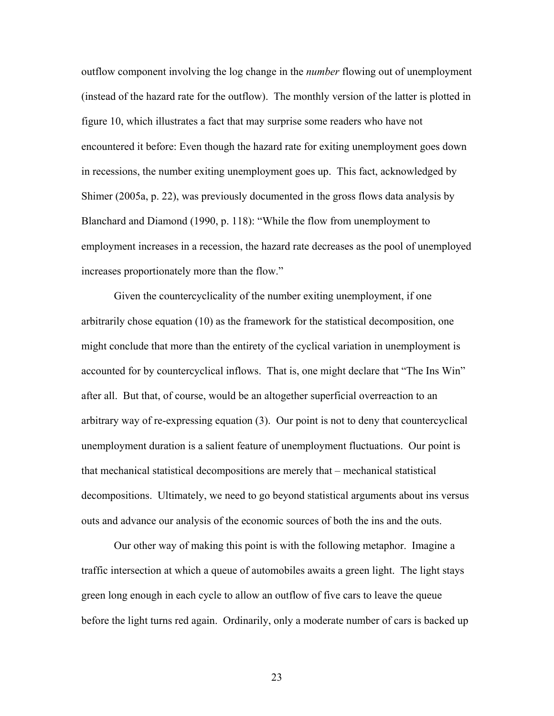outflow component involving the log change in the *number* flowing out of unemployment (instead of the hazard rate for the outflow). The monthly version of the latter is plotted in figure 10, which illustrates a fact that may surprise some readers who have not encountered it before: Even though the hazard rate for exiting unemployment goes down in recessions, the number exiting unemployment goes up. This fact, acknowledged by Shimer (2005a, p. 22), was previously documented in the gross flows data analysis by Blanchard and Diamond (1990, p. 118): "While the flow from unemployment to employment increases in a recession, the hazard rate decreases as the pool of unemployed increases proportionately more than the flow."

Given the countercyclicality of the number exiting unemployment, if one arbitrarily chose equation (10) as the framework for the statistical decomposition, one might conclude that more than the entirety of the cyclical variation in unemployment is accounted for by countercyclical inflows. That is, one might declare that "The Ins Win" after all. But that, of course, would be an altogether superficial overreaction to an arbitrary way of re-expressing equation (3). Our point is not to deny that countercyclical unemployment duration is a salient feature of unemployment fluctuations. Our point is that mechanical statistical decompositions are merely that – mechanical statistical decompositions. Ultimately, we need to go beyond statistical arguments about ins versus outs and advance our analysis of the economic sources of both the ins and the outs.

Our other way of making this point is with the following metaphor. Imagine a traffic intersection at which a queue of automobiles awaits a green light. The light stays green long enough in each cycle to allow an outflow of five cars to leave the queue before the light turns red again. Ordinarily, only a moderate number of cars is backed up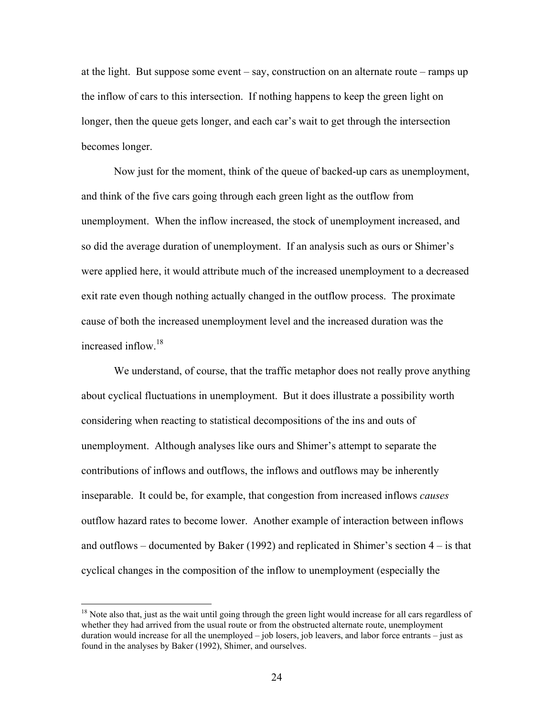at the light. But suppose some event – say, construction on an alternate route – ramps up the inflow of cars to this intersection. If nothing happens to keep the green light on longer, then the queue gets longer, and each car's wait to get through the intersection becomes longer.

Now just for the moment, think of the queue of backed-up cars as unemployment, and think of the five cars going through each green light as the outflow from unemployment. When the inflow increased, the stock of unemployment increased, and so did the average duration of unemployment. If an analysis such as ours or Shimer's were applied here, it would attribute much of the increased unemployment to a decreased exit rate even though nothing actually changed in the outflow process. The proximate cause of both the increased unemployment level and the increased duration was the increased inflow.<sup>18</sup>

We understand, of course, that the traffic metaphor does not really prove anything about cyclical fluctuations in unemployment. But it does illustrate a possibility worth considering when reacting to statistical decompositions of the ins and outs of unemployment. Although analyses like ours and Shimer's attempt to separate the contributions of inflows and outflows, the inflows and outflows may be inherently inseparable. It could be, for example, that congestion from increased inflows *causes* outflow hazard rates to become lower. Another example of interaction between inflows and outflows – documented by Baker (1992) and replicated in Shimer's section  $4 - i$  is that cyclical changes in the composition of the inflow to unemployment (especially the

 $18$  Note also that, just as the wait until going through the green light would increase for all cars regardless of whether they had arrived from the usual route or from the obstructed alternate route, unemployment duration would increase for all the unemployed – job losers, job leavers, and labor force entrants – just as found in the analyses by Baker (1992), Shimer, and ourselves.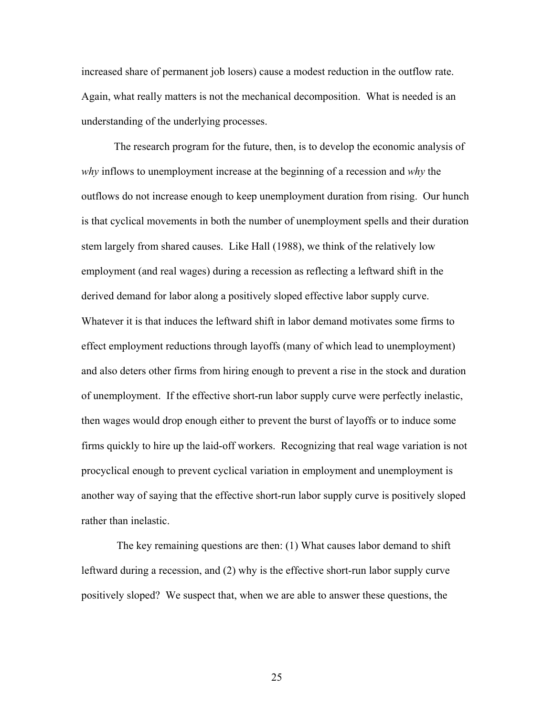increased share of permanent job losers) cause a modest reduction in the outflow rate. Again, what really matters is not the mechanical decomposition. What is needed is an understanding of the underlying processes.

The research program for the future, then, is to develop the economic analysis of *why* inflows to unemployment increase at the beginning of a recession and *why* the outflows do not increase enough to keep unemployment duration from rising. Our hunch is that cyclical movements in both the number of unemployment spells and their duration stem largely from shared causes. Like Hall (1988), we think of the relatively low employment (and real wages) during a recession as reflecting a leftward shift in the derived demand for labor along a positively sloped effective labor supply curve. Whatever it is that induces the leftward shift in labor demand motivates some firms to effect employment reductions through layoffs (many of which lead to unemployment) and also deters other firms from hiring enough to prevent a rise in the stock and duration of unemployment. If the effective short-run labor supply curve were perfectly inelastic, then wages would drop enough either to prevent the burst of layoffs or to induce some firms quickly to hire up the laid-off workers. Recognizing that real wage variation is not procyclical enough to prevent cyclical variation in employment and unemployment is another way of saying that the effective short-run labor supply curve is positively sloped rather than inelastic.

 The key remaining questions are then: (1) What causes labor demand to shift leftward during a recession, and (2) why is the effective short-run labor supply curve positively sloped? We suspect that, when we are able to answer these questions, the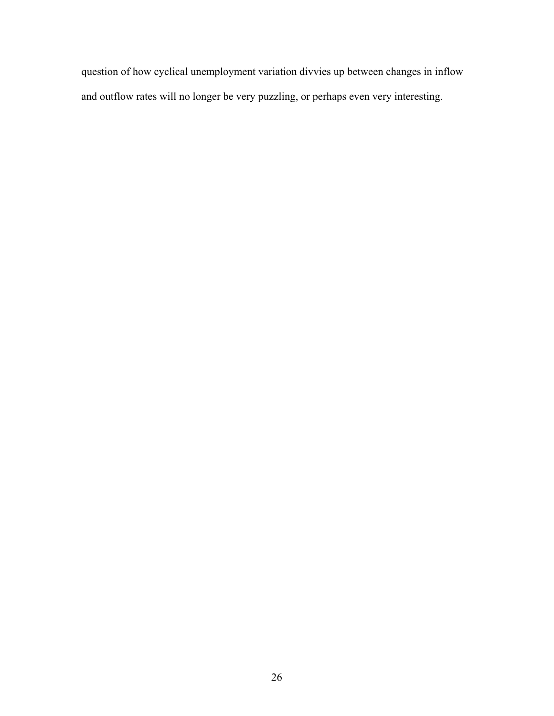question of how cyclical unemployment variation divvies up between changes in inflow and outflow rates will no longer be very puzzling, or perhaps even very interesting.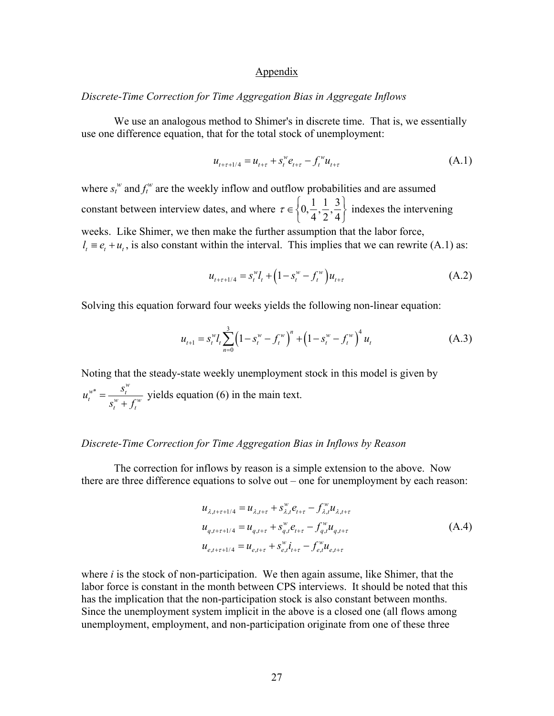### Appendix

## *Discrete-Time Correction for Time Aggregation Bias in Aggregate Inflows*

We use an analogous method to Shimer's in discrete time. That is, we essentially use one difference equation, that for the total stock of unemployment:

$$
u_{t+\tau+1/4} = u_{t+\tau} + s_t^w e_{t+\tau} - f_t^w u_{t+\tau}
$$
\n(A.1)

where  $s_t^w$  and  $f_t^w$  are the weekly inflow and outflow probabilities and are assumed constant between interview dates, and where  $\tau \in \left\{0, \frac{1}{4}, \frac{1}{2}, \frac{3}{4}\right\}$  $\tau \in \left\{0, \frac{1}{4}, \frac{1}{2}, \frac{3}{4}\right\}$  indexes the intervening weeks. Like Shimer, we then make the further assumption that the labor force,  $l_t \equiv e_t + u_t$ , is also constant within the interval. This implies that we can rewrite (A.1) as:

$$
u_{t+\tau+1/4} = s_t^{\omega} l_t + \left(1 - s_t^{\omega} - f_t^{\omega}\right) u_{t+\tau}
$$
 (A.2)

Solving this equation forward four weeks yields the following non-linear equation:

$$
u_{t+1} = s_t^{\omega} l_t \sum_{n=0}^3 \left( 1 - s_t^{\omega} - f_t^{\omega} \right)^n + \left( 1 - s_t^{\omega} - f_t^{\omega} \right)^4 u_t \tag{A.3}
$$

Noting that the steady-state weekly unemployment stock in this model is given by  $w^*$  *s*<sup>*w*</sup> *s*<sup>*w*</sup>  $t = w$ *t t*  $u_t^{w^*} = \frac{s_t^w}{s_t^w + f_t^w}$  yields equation (6) in the main text.

# *Discrete-Time Correction for Time Aggregation Bias in Inflows by Reason*

The correction for inflows by reason is a simple extension to the above. Now there are three difference equations to solve out – one for unemployment by each reason:

$$
u_{\lambda,t+\tau+1/4} = u_{\lambda,t+\tau} + s_{\lambda,t}^{w} e_{t+\tau} - f_{\lambda,t}^{w} u_{\lambda,t+\tau}
$$
  
\n
$$
u_{q,t+\tau+1/4} = u_{q,t+\tau} + s_{q,t}^{w} e_{t+\tau} - f_{q,t}^{w} u_{q,t+\tau}
$$
  
\n
$$
u_{e,t+\tau+1/4} = u_{e,t+\tau} + s_{e,t}^{w} i_{t+\tau} - f_{e,t}^{w} u_{e,t+\tau}
$$
\n(A.4)

where *i* is the stock of non-participation. We then again assume, like Shimer, that the labor force is constant in the month between CPS interviews. It should be noted that this has the implication that the non-participation stock is also constant between months. Since the unemployment system implicit in the above is a closed one (all flows among unemployment, employment, and non-participation originate from one of these three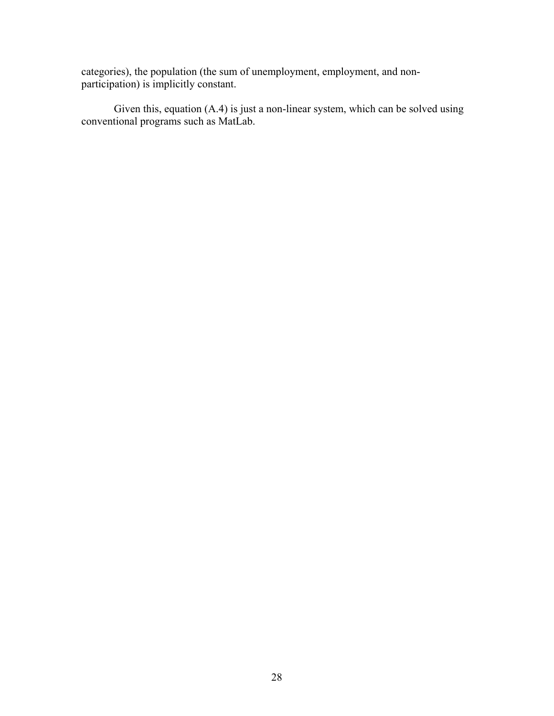categories), the population (the sum of unemployment, employment, and nonparticipation) is implicitly constant.

Given this, equation (A.4) is just a non-linear system, which can be solved using conventional programs such as MatLab.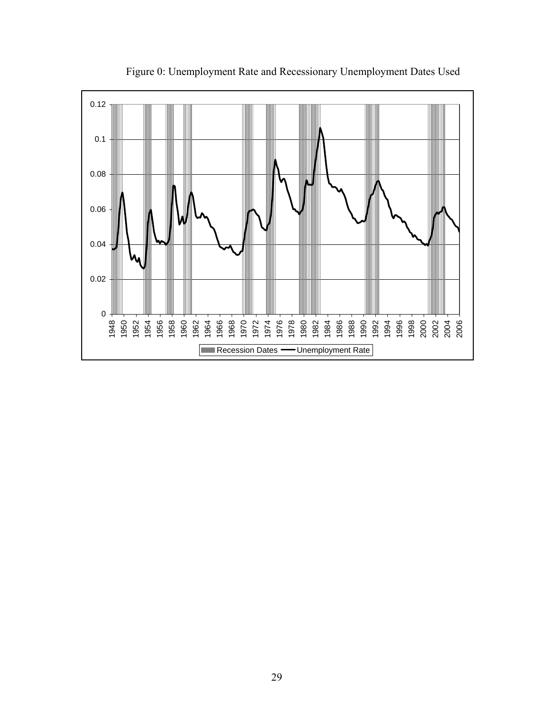

Figure 0: Unemployment Rate and Recessionary Unemployment Dates Used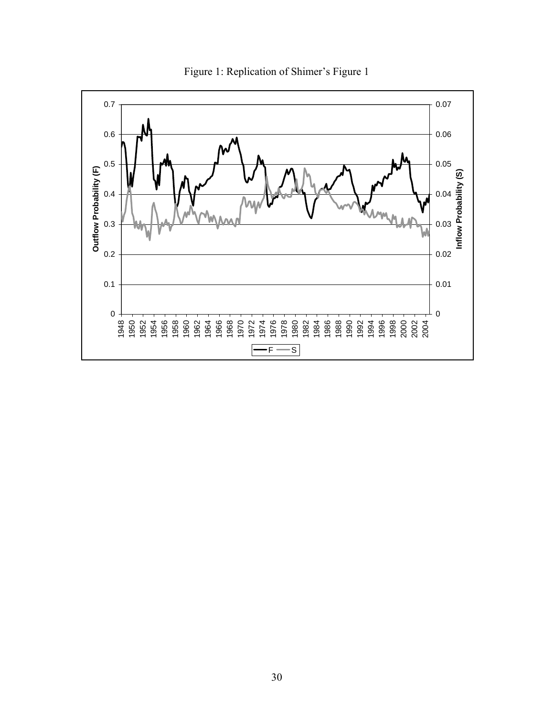

Figure 1: Replication of Shimer's Figure 1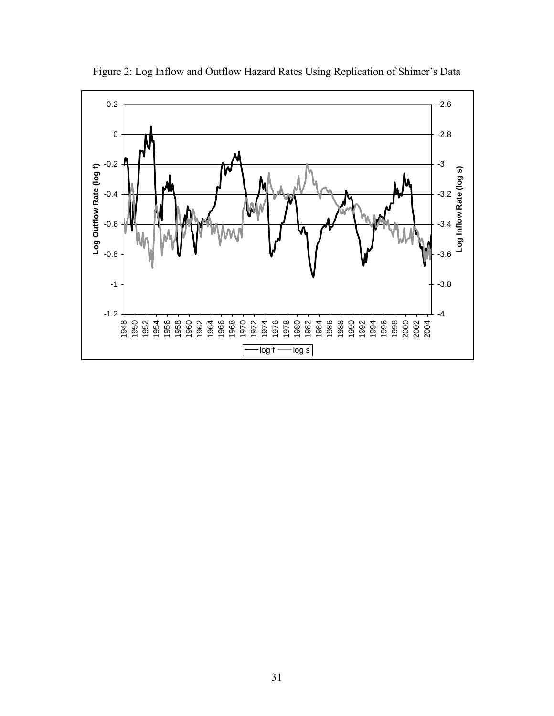

Figure 2: Log Inflow and Outflow Hazard Rates Using Replication of Shimer's Data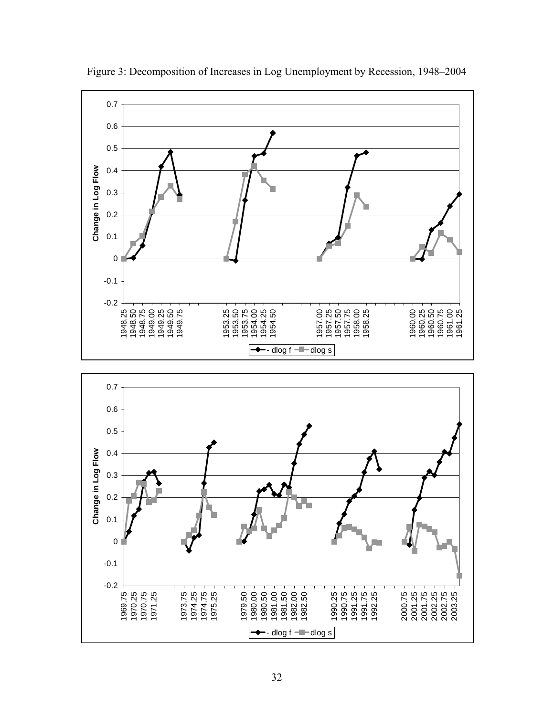

Figure 3: Decomposition of Increases in Log Unemployment by Recession, 1948–2004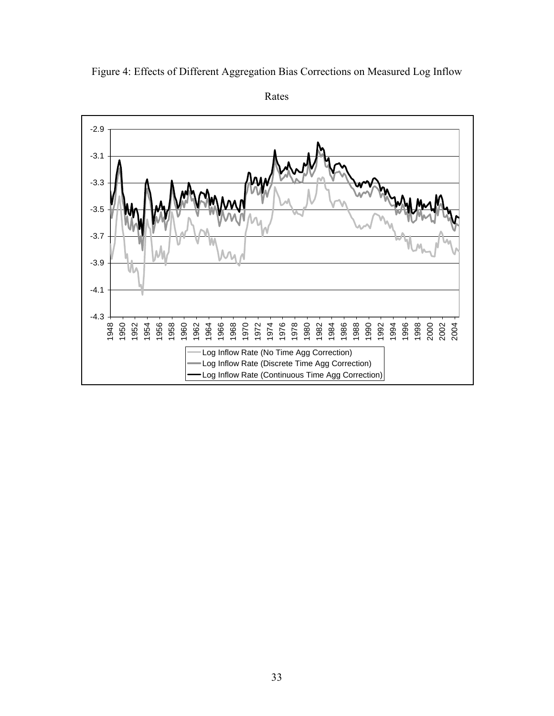

Figure 4: Effects of Different Aggregation Bias Corrections on Measured Log Inflow

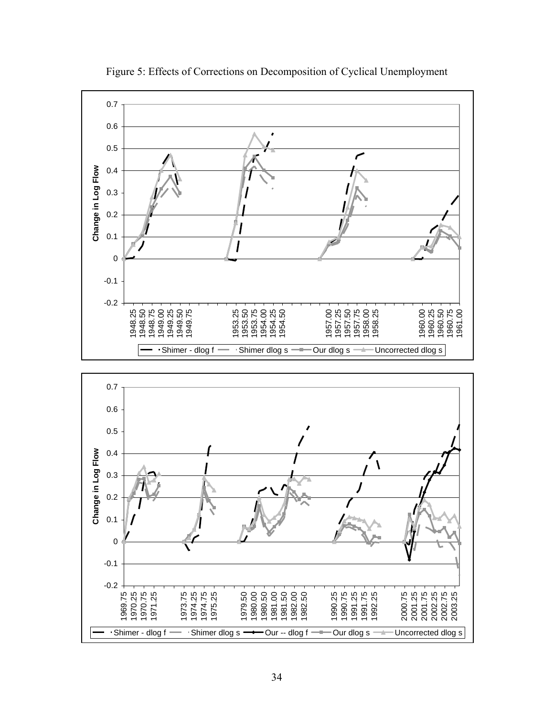

Figure 5: Effects of Corrections on Decomposition of Cyclical Unemployment

Shimer - dlog f  $\longrightarrow$  Shimer dlog s  $\longrightarrow$  Our -- dlog f  $\longrightarrow$  Our dlog s  $\longrightarrow$  Uncorrected dlog s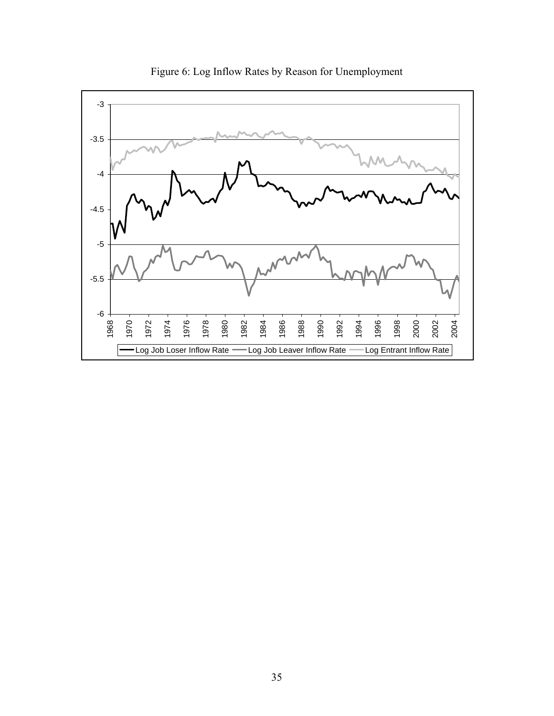

Figure 6: Log Inflow Rates by Reason for Unemployment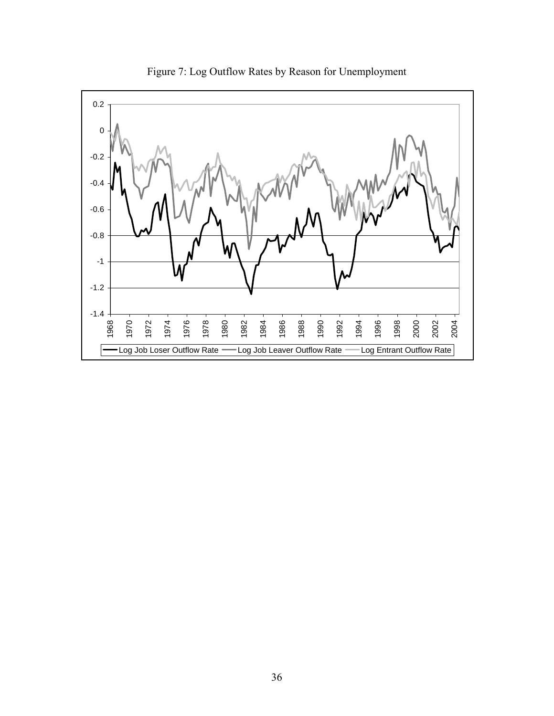

Figure 7: Log Outflow Rates by Reason for Unemployment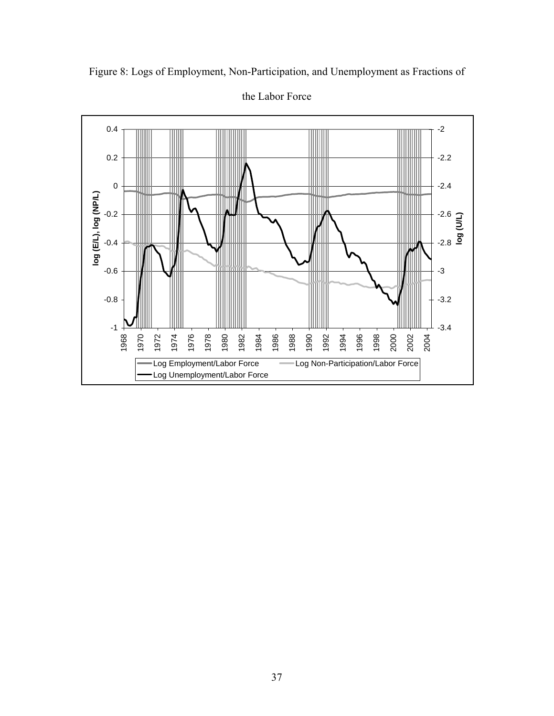

Figure 8: Logs of Employment, Non-Participation, and Unemployment as Fractions of

the Labor Force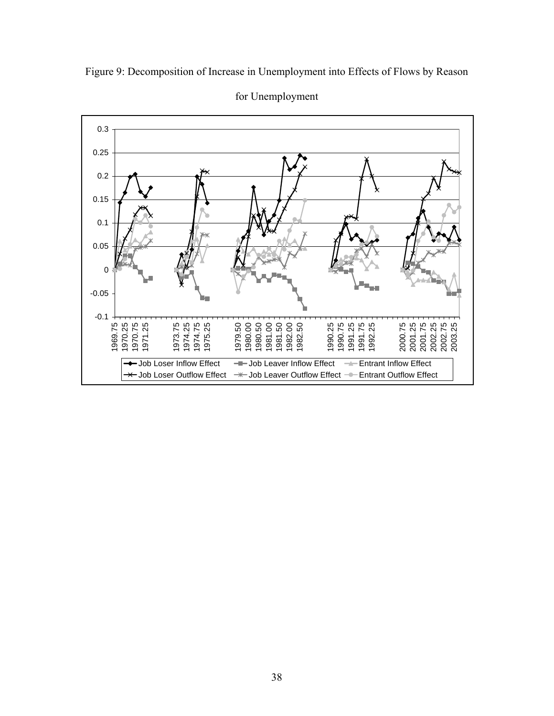



for Unemployment